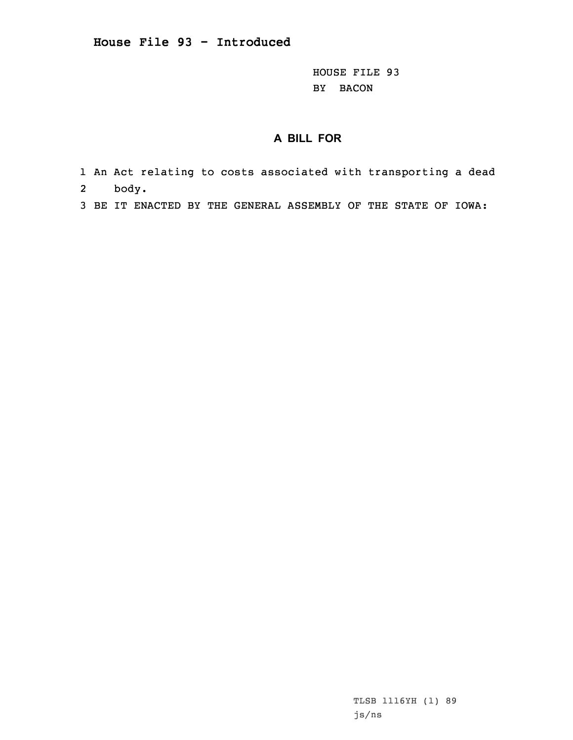HOUSE FILE 93 BY BACON

## **A BILL FOR**

- 1 An Act relating to costs associated with transporting <sup>a</sup> dead 2body.
- 3 BE IT ENACTED BY THE GENERAL ASSEMBLY OF THE STATE OF IOWA:

TLSB 1116YH (1) 89 js/ns